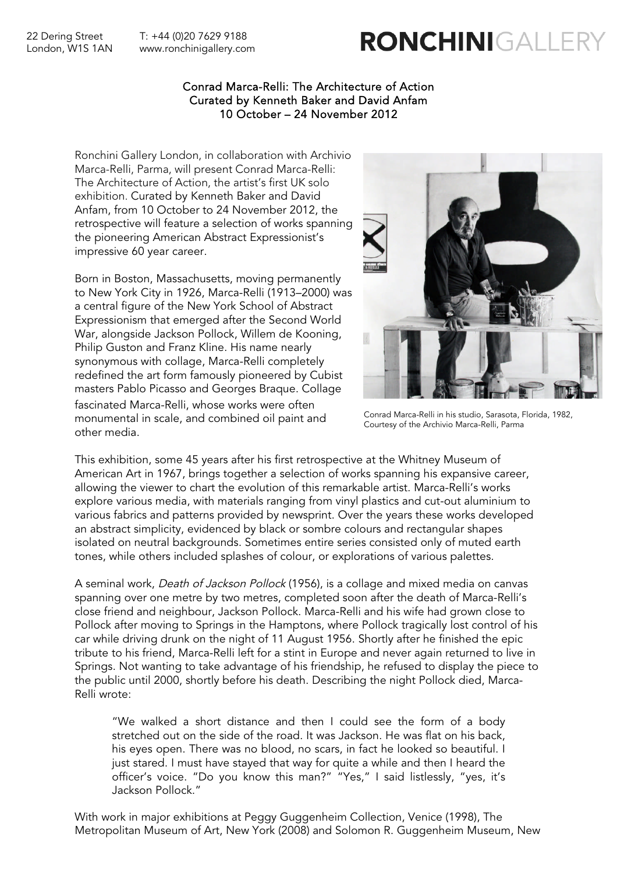22 Dering Street T: +44 (0)20 7629 9188 London, W1S 1AN www.ronchinigallery.com RONCHINIGALLEI

### Conrad Marca-Relli: The Architecture of Action Curated by Kenneth Baker and David Anfam 10 October – 24 November 2012

Ronchini Gallery London, in collaboration with Archivio Marca-Relli, Parma, will present Conrad Marca-Relli: The Architecture of Action, the artist's first UK solo exhibition. Curated by Kenneth Baker and David Anfam, from 10 October to 24 November 2012, the retrospective will feature a selection of works spanning the pioneering American Abstract Expressionist's impressive 60 year career.

Born in Boston, Massachusetts, moving permanently to New York City in 1926, Marca-Relli (1913–2000) was a central figure of the New York School of Abstract Expressionism that emerged after the Second World War, alongside Jackson Pollock, Willem de Kooning, Philip Guston and Franz Kline. His name nearly synonymous with collage, Marca-Relli completely redefined the art form famously pioneered by Cubist masters Pablo Picasso and Georges Braque. Collage fascinated Marca-Relli, whose works were often monumental in scale, and combined oil paint and other media.



Conrad Marca-Relli in his studio, Sarasota, Florida, 1982, Courtesy of the Archivio Marca-Relli, Parma

This exhibition, some 45 years after his first retrospective at the Whitney Museum of American Art in 1967, brings together a selection of works spanning his expansive career, allowing the viewer to chart the evolution of this remarkable artist. Marca-Relli's works explore various media, with materials ranging from vinyl plastics and cut-out aluminium to various fabrics and patterns provided by newsprint. Over the years these works developed an abstract simplicity, evidenced by black or sombre colours and rectangular shapes isolated on neutral backgrounds. Sometimes entire series consisted only of muted earth tones, while others included splashes of colour, or explorations of various palettes.

A seminal work, Death of Jackson Pollock (1956), is a collage and mixed media on canvas spanning over one metre by two metres, completed soon after the death of Marca-Relli's close friend and neighbour, Jackson Pollock. Marca-Relli and his wife had grown close to Pollock after moving to Springs in the Hamptons, where Pollock tragically lost control of his car while driving drunk on the night of 11 August 1956. Shortly after he finished the epic tribute to his friend, Marca-Relli left for a stint in Europe and never again returned to live in Springs. Not wanting to take advantage of his friendship, he refused to display the piece to the public until 2000, shortly before his death. Describing the night Pollock died, Marca-Relli wrote:

"We walked a short distance and then I could see the form of a body stretched out on the side of the road. It was Jackson. He was flat on his back, his eyes open. There was no blood, no scars, in fact he looked so beautiful. I just stared. I must have stayed that way for quite a while and then I heard the officer's voice. "Do you know this man?" "Yes," I said listlessly, "yes, it's Jackson Pollock."

With work in major exhibitions at Peggy Guggenheim Collection, Venice (1998), The Metropolitan Museum of Art, New York (2008) and Solomon R. Guggenheim Museum, New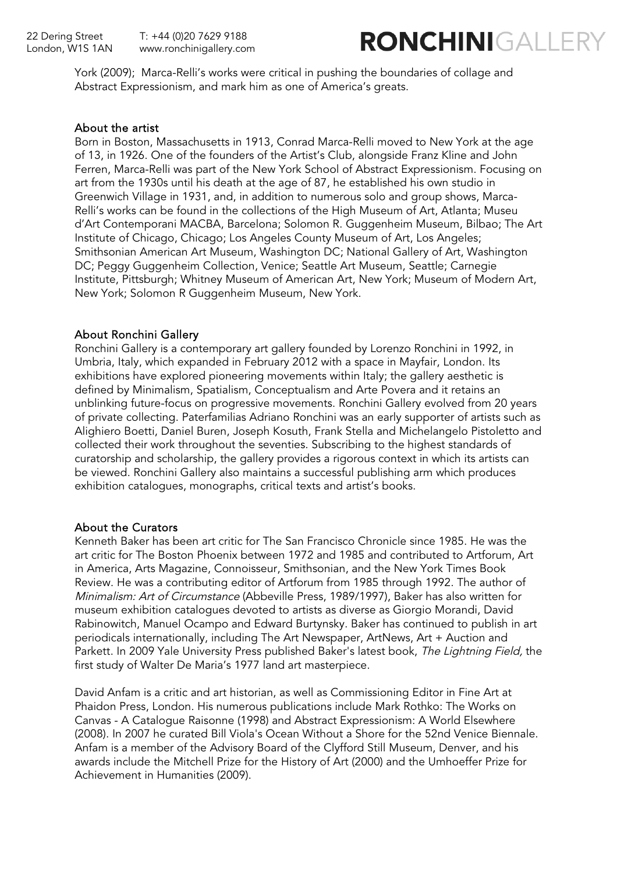

York (2009); Marca-Relli's works were critical in pushing the boundaries of collage and Abstract Expressionism, and mark him as one of America's greats.

### About the artist

Born in Boston, Massachusetts in 1913, Conrad Marca-Relli moved to New York at the age of 13, in 1926. One of the founders of the Artist's Club, alongside Franz Kline and John Ferren, Marca-Relli was part of the New York School of Abstract Expressionism. Focusing on art from the 1930s until his death at the age of 87, he established his own studio in Greenwich Village in 1931, and, in addition to numerous solo and group shows, Marca-Relli's works can be found in the collections of the High Museum of Art, Atlanta; Museu d'Art Contemporani MACBA, Barcelona; Solomon R. Guggenheim Museum, Bilbao; The Art Institute of Chicago, Chicago; Los Angeles County Museum of Art, Los Angeles; Smithsonian American Art Museum, Washington DC; National Gallery of Art, Washington DC; Peggy Guggenheim Collection, Venice; Seattle Art Museum, Seattle; Carnegie Institute, Pittsburgh; Whitney Museum of American Art, New York; Museum of Modern Art, New York; Solomon R Guggenheim Museum, New York.

### About Ronchini Gallery

Ronchini Gallery is a contemporary art gallery founded by Lorenzo Ronchini in 1992, in Umbria, Italy, which expanded in February 2012 with a space in Mayfair, London. Its exhibitions have explored pioneering movements within Italy; the gallery aesthetic is defined by Minimalism, Spatialism, Conceptualism and Arte Povera and it retains an unblinking future-focus on progressive movements. Ronchini Gallery evolved from 20 years of private collecting. Paterfamilias Adriano Ronchini was an early supporter of artists such as Alighiero Boetti, Daniel Buren, Joseph Kosuth, Frank Stella and Michelangelo Pistoletto and collected their work throughout the seventies. Subscribing to the highest standards of curatorship and scholarship, the gallery provides a rigorous context in which its artists can be viewed. Ronchini Gallery also maintains a successful publishing arm which produces exhibition catalogues, monographs, critical texts and artist's books.

## About the Curators

Kenneth Baker has been art critic for The San Francisco Chronicle since 1985. He was the art critic for The Boston Phoenix between 1972 and 1985 and contributed to Artforum, Art in America, Arts Magazine, Connoisseur, Smithsonian, and the New York Times Book Review. He was a contributing editor of Artforum from 1985 through 1992. The author of Minimalism: Art of Circumstance (Abbeville Press, 1989/1997), Baker has also written for museum exhibition catalogues devoted to artists as diverse as Giorgio Morandi, David Rabinowitch, Manuel Ocampo and Edward Burtynsky. Baker has continued to publish in art periodicals internationally, including The Art Newspaper, ArtNews, Art + Auction and Parkett. In 2009 Yale University Press published Baker's latest book, The Lightning Field, the first study of Walter De Maria's 1977 land art masterpiece.

David Anfam is a critic and art historian, as well as Commissioning Editor in Fine Art at Phaidon Press, London. His numerous publications include Mark Rothko: The Works on Canvas - A Catalogue Raisonne (1998) and Abstract Expressionism: A World Elsewhere (2008). In 2007 he curated Bill Viola's Ocean Without a Shore for the 52nd Venice Biennale. Anfam is a member of the Advisory Board of the Clyfford Still Museum, Denver, and his awards include the Mitchell Prize for the History of Art (2000) and the Umhoeffer Prize for Achievement in Humanities (2009).